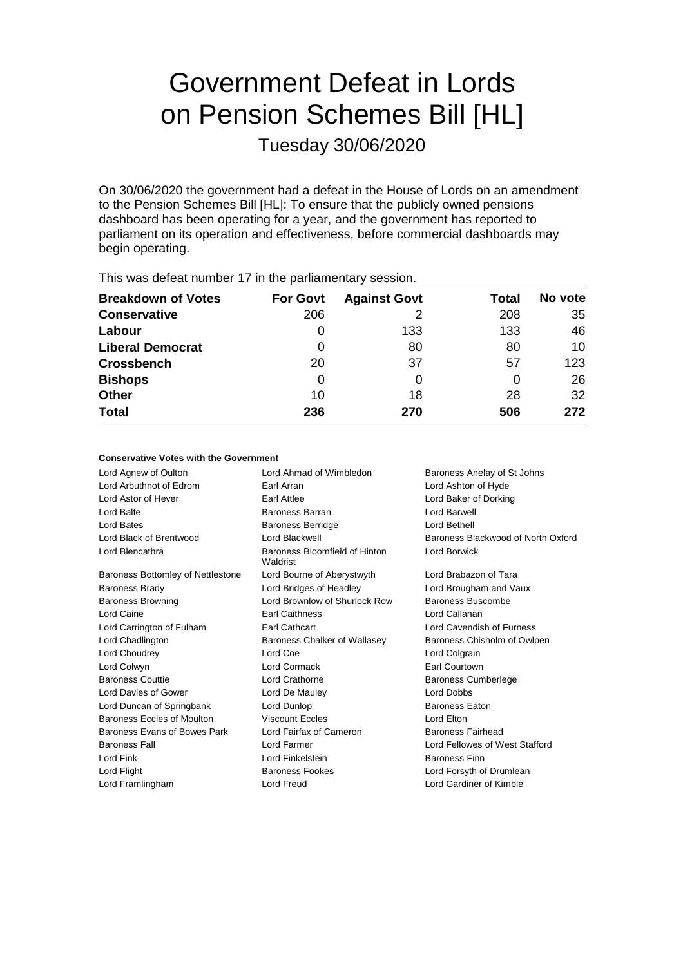# Government Defeat in Lords on Pension Schemes Bill [HL]

Tuesday 30/06/2020

On 30/06/2020 the government had a defeat in the House of Lords on an amendment to the Pension Schemes Bill [HL]: To ensure that the publicly owned pensions dashboard has been operating for a year, and the government has reported to parliament on its operation and effectiveness, before commercial dashboards may begin operating.

| <b>Breakdown of Votes</b><br><b>Against Govt</b><br><b>For Govt</b><br>Total<br>206<br>208<br>133<br>133<br>O<br>80<br>80<br>0<br>37<br>20<br>57<br>0<br>0<br>18<br>28<br>10<br>236<br>506<br>270 |  |  |         |
|---------------------------------------------------------------------------------------------------------------------------------------------------------------------------------------------------|--|--|---------|
| <b>Conservative</b><br>Labour<br><b>Liberal Democrat</b><br><b>Crossbench</b><br><b>Bishops</b><br><b>Other</b><br><b>Total</b>                                                                   |  |  | No vote |
|                                                                                                                                                                                                   |  |  | 35      |
|                                                                                                                                                                                                   |  |  | 46      |
|                                                                                                                                                                                                   |  |  | 10      |
|                                                                                                                                                                                                   |  |  | 123     |
|                                                                                                                                                                                                   |  |  | 26      |
|                                                                                                                                                                                                   |  |  | 32      |
|                                                                                                                                                                                                   |  |  | 272     |

This was defeat number 17 in the parliamentary session.

### **Conservative Votes with the Government**

| Lord Ahmad of Wimbledon                   | Baroness Anelay of St Johns        |
|-------------------------------------------|------------------------------------|
| Earl Arran                                | Lord Ashton of Hyde                |
| Earl Attlee                               | Lord Baker of Dorking              |
| Baroness Barran                           | Lord Barwell                       |
| <b>Baroness Berridge</b>                  | Lord Bethell                       |
| Lord Blackwell                            | Baroness Blackwood of North Oxford |
| Baroness Bloomfield of Hinton<br>Waldrist | Lord Borwick                       |
| Lord Bourne of Aberystwyth                | Lord Brabazon of Tara              |
| Lord Bridges of Headley                   | Lord Brougham and Vaux             |
| Lord Brownlow of Shurlock Row             | Baroness Buscombe                  |
| <b>Earl Caithness</b>                     | Lord Callanan                      |
| Earl Cathcart                             | Lord Cavendish of Furness          |
| Baroness Chalker of Wallasey              | Baroness Chisholm of Owlpen        |
| Lord Coe                                  | Lord Colgrain                      |
| Lord Cormack                              | Earl Courtown                      |
| Lord Crathorne                            | <b>Baroness Cumberlege</b>         |
| Lord De Mauley                            | Lord Dobbs                         |
| Lord Dunlop                               | <b>Baroness Eaton</b>              |
| <b>Viscount Eccles</b>                    | Lord Elton                         |
| Lord Fairfax of Cameron                   | Baroness Fairhead                  |
| Lord Farmer                               | Lord Fellowes of West Stafford     |
| Lord Finkelstein                          | <b>Baroness Finn</b>               |
| Baroness Fookes                           | Lord Forsyth of Drumlean           |
| Lord Freud                                | Lord Gardiner of Kimble            |
|                                           |                                    |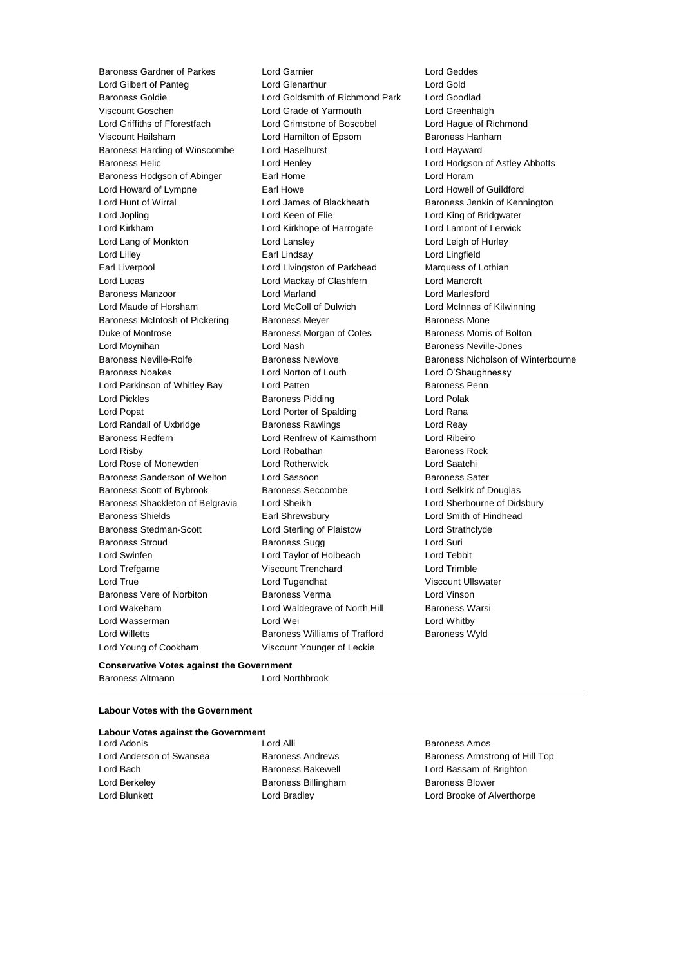Baroness Gardner of Parkes Lord Garnier Lord Geddes Lord Gilbert of Panteg Baroness Goldie Lord Goldsmith of Richmond Park Lord Goodlad Viscount Goschen Lord Grade of Yarmouth Lord Greenhalgh Lord Griffiths of Fforestfach Lord Grimstone of Boscobel Lord Hague of Richmond Viscount Hailsham Lord Hamilton of Epsom Baroness Hanham Baroness Harding of Winscombe Lord Haselhurst Lord Hayward Baroness Helic **Communist Club Lord Henley** Lord Hodgson of Astley Abbotts Baroness Hodgson of Abinger Earl Home **Earl Home** Lord Horam Lord Howard of Lympne **Earl Howe Earl Howell Communist Communist** Lord Howell of Guildford Lord Hunt of Wirral **Lord James of Blackheath** Baroness Jenkin of Kennington Lord Jopling **Lord Keen of Elie** Lord Keen Clear Lord King of Bridgwater Lord Kirkham Lord Kirkhope of Harrogate Lord Lamont of Lerwick Lord Lang of Monkton Lord Lansley Lord Leigh of Hurley Lord Lilley Earl Lindsay Lord Lingfield Earl Liverpool **Lord Livingston of Parkhead** Marquess of Lothian Lord Lucas Lord Mackay of Clashfern Lord Mancroft Baroness Manzoor Lord Marland Lord Marlesford Lord Maude of Horsham Lord McColl of Dulwich Lord McInnes of Kilwinning Baroness McIntosh of Pickering Baroness Meyer Baroness Mone Duke of Montrose **Baroness Morgan of Cotes** Baroness Morris of Bolton Lord Moynihan Lord Nash Baroness Neville-Jones Baroness Neville-Rolfe **Baroness Newlove** Baroness Newlove **Baroness Nicholson of Winterbourne** Baroness Noakes Lord Norton of Louth Lord O'Shaughnessy Lord Parkinson of Whitley Bay Lord Patten **Baroness Penn** Lord Pickles **Baroness Pidding** Lord Polak Lord Popat **Lord Porter of Spalding Lord Rana** Lord Randall of Uxbridge Baroness Rawlings Lord Reay Baroness Redfern Lord Renfrew of Kaimsthorn Lord Ribeiro Lord Risby **Lord Robathan** Baroness Rock **Baroness** Rock Lord Rose of Monewden Lord Rotherwick Lord Saatchi Baroness Sanderson of Welton Lord Sassoon Baroness Sater Baroness Scott of Bybrook Baroness Seccombe Lord Selkirk of Douglas Baroness Shackleton of Belgravia Lord Sheikh Lord Sherbourne of Didsbury Baroness Shields **Earl Shrewsbury** Earl Shrewsbury **Lord Smith of Hindhead** Baroness Stedman-Scott **Lord Sterling of Plaistow** Lord Strathclyde Baroness Stroud **Baroness Sugg Contains Containers** Lord Suri Lord Swinfen Lord Taylor of Holbeach Lord Tebbit Lord Trefgarne Viscount Trenchard Lord Trimble Lord True Lord Tugendhat Viscount Ullswater Baroness Vere of Norbiton **Baroness Verma** Lord Vinson Lord Wakeham **Lord Waldegrave of North Hill** Baroness Warsi Lord Wasserman Lord Wei Lord Whitby Lord Willetts **Baroness Williams of Trafford** Baroness Wyld Lord Young of Cookham Viscount Younger of Leckie

# **Conservative Votes against the Government**

Baroness Altmann Lord Northbrook

### **Labour Votes with the Government**

|  |  |  |  | <b>Labour Votes against the Government</b> |  |
|--|--|--|--|--------------------------------------------|--|
|--|--|--|--|--------------------------------------------|--|

Lord Adonis Lord Alli Baroness Amos Lord Berkeley **Baroness Billingham** Baroness Blower

Lord Anderson of Swansea Baroness Andrews Baroness Armstrong of Hill Top Lord Bach **Baroness Bakewell Baroness Bakewell Lord Bassam of Brighton** Lord Blunkett Lord Bradley Lord Brooke of Alverthorpe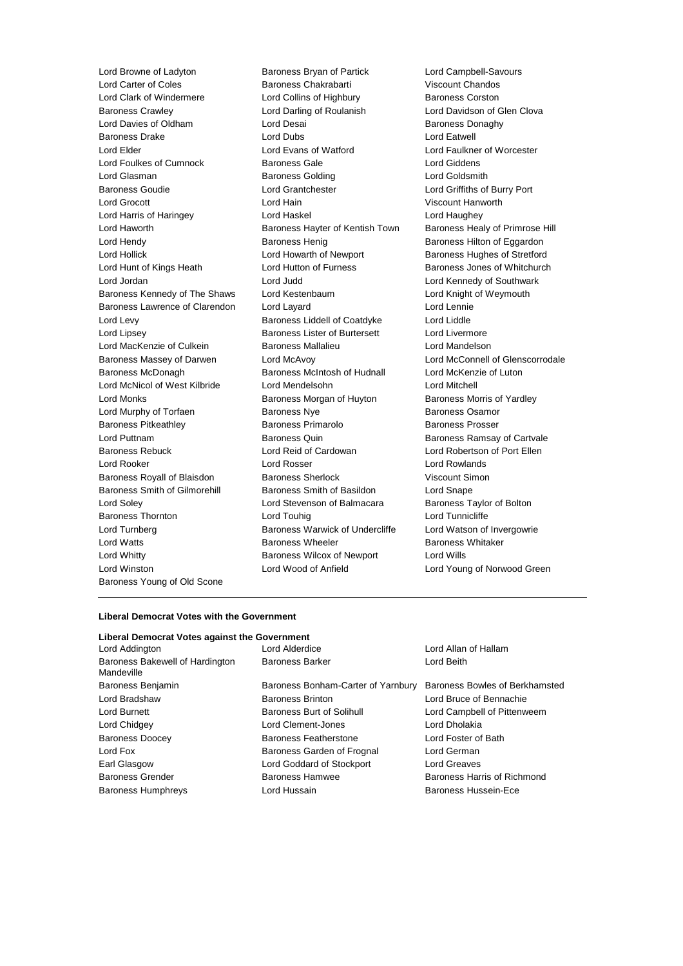Lord Carter of Coles Baroness Chakrabarti Baroness Young of Old Scone

Lord Browne of Ladyton **Baroness Bryan of Partick** Lord Campbell-Savours<br>
Lord Carter of Coles **Baroness Chakrabarti** Viscount Chandos Lord Clark of Windermere Lord Collins of Highbury Baroness Corston Baroness Crawley Lord Darling of Roulanish Lord Davidson of Glen Clova Lord Davies of Oldham **Lord Desai** Baroness Donaghy Baroness Drake **Lord Dubs** Lord Dubs **Lord Eatwell** Lord Elder Lord Evans of Watford Lord Faulkner of Worcester Lord Foulkes of Cumnock Baroness Gale Lord Giddens Lord Glasman Baroness Golding Lord Goldsmith Baroness Goudie Lord Grantchester Lord Griffiths of Burry Port Lord Grocott Lord Hain Viscount Hanworth Lord Harris of Haringey Lord Haskel Lord Haughey Lord Haworth **Baroness Hayter of Kentish Town** Baroness Healy of Primrose Hill Lord Hendy **Baroness Henig** Baroness Henig Baroness Hilton of Eggardon Lord Hollick Lord Howarth of Newport Baroness Hughes of Stretford Lord Hunt of Kings Heath Lord Hutton of Furness Baroness Jones of Whitchurch Lord Jordan Lord Judd Lord Kennedy of Southwark Baroness Kennedy of The Shaws Lord Kestenbaum Lord Knight of Weymouth Baroness Lawrence of Clarendon Lord Layard Lord Lennie Lord Levy **Baroness Liddell of Coatdyke** Lord Liddle Lord Lipsey Baroness Lister of Burtersett Lord Livermore Lord MacKenzie of Culkein **Baroness Mallalieu Lord Mandelson** Baroness Massey of Darwen Lord McAvoy Lord McConnell of Glenscorrodale Baroness McDonagh Baroness McIntosh of Hudnall Lord McKenzie of Luton Lord McNicol of West Kilbride Lord Mendelsohn Lord Mitchell Lord Monks **Baroness Morgan of Huyton** Baroness Morris of Yardley Lord Murphy of Torfaen **Baroness Nye** Baroness Osamor Baroness Pitkeathley **Baroness Primarolo** Baroness Prosser Lord Puttnam **Baroness Quin** Baroness Quin Baroness Ramsay of Cartvale Baroness Rebuck Lord Reid of Cardowan Lord Robertson of Port Ellen Lord Rooker Lord Rosser Lord Rowlands Baroness Royall of Blaisdon Baroness Sherlock Viscount Simon Baroness Smith of Gilmorehill Baroness Smith of Basildon Lord Snape Lord Soley Lord Stevenson of Balmacara Baroness Taylor of Bolton Baroness Thornton **Lord Touhig** Lord Touhig Lord Tunnicliffe Lord Turnberg **Baroness Warwick of Undercliffe** Lord Watson of Invergowrie Lord Watts **Baroness Wheeler** Baroness Wheeler **Baroness Whitaker** Lord Whitty **Baroness Wilcox of Newport** Lord Wills Lord Winston Lord Wood of Anfield Lord Young of Norwood Green

### **Liberal Democrat Votes with the Government**

# **Liberal Democrat Votes against the Government** Lord Addington Lord Alderdice Lord Allan of Hallam

Baroness Bakewell of Hardington Mandeville Baroness Humphreys **Example 2** Lord Hussain **Baroness Hussein-Ece** 

Baroness Benjamin Baroness Bonham-Carter of Yarnbury Baroness Bowles of Berkhamsted Lord Bradshaw Baroness Brinton Lord Bruce of Bennachie Lord Burnett Baroness Burt of Solihull Lord Campbell of Pittenweem Lord Chidgey Lord Clement-Jones Lord Dholakia Baroness Doocey Baroness Featherstone Lord Foster of Bath Lord Fox Baroness Garden of Frognal Lord German Earl Glasgow Lord Goddard of Stockport Lord Greaves Baroness Grender **Baroness Hammen** Baroness Hamwee **Baroness Hammen** Baroness Hammend Baroness Hammend Baroness Hammend Baroness Hammend Baroness Hammend Baroness Hammend Baroness Hammend Baroness Hammend Baroness Hammend

Baroness Barker Lord Beith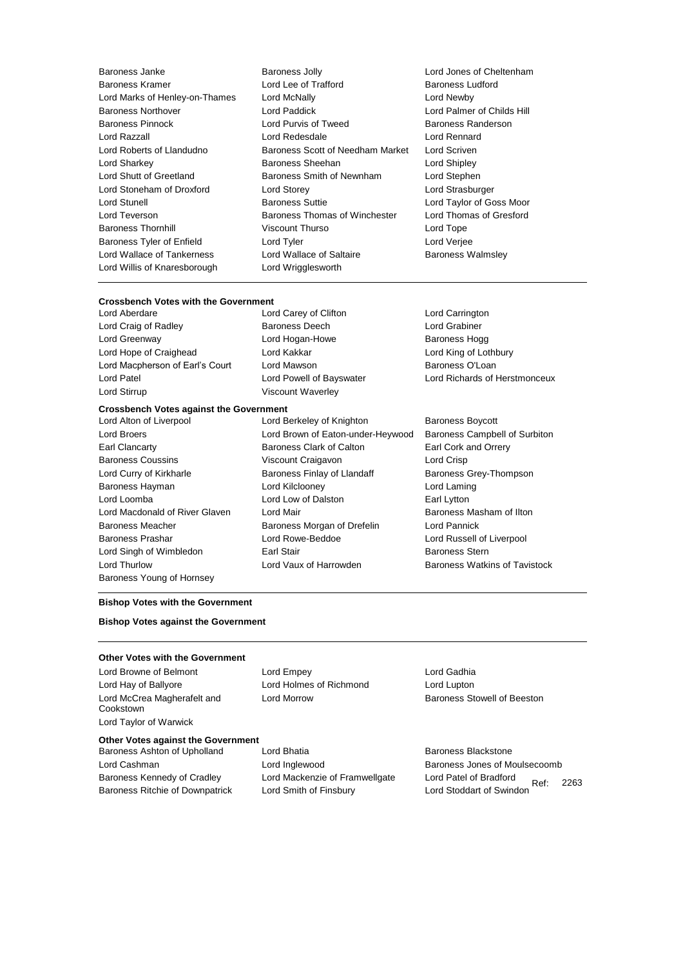Baroness Kramer **Lord Lee of Trafford** Lord Willis of Knaresborough Lord Wrigglesworth

Baroness Janke **Baroness Jolly** Baroness Jolly **Lord Jones of Cheltenham**<br>
Baroness Kramer **Baroness** Lord Lee of Trafford **Baroness Ludford** Lord Marks of Henley-on-Thames Lord McNally Lord Newby Baroness Northover Lord Paddick Lord Palmer of Childs Hill Baroness Pinnock **Lord Purvis of Tweed** Baroness Randerson Lord Razzall Lord Redesdale Lord Rennard Lord Roberts of Llandudno Baroness Scott of Needham Market Lord Scriven Lord Sharkey **Baroness Sheehan** Lord Shipley **Lord Shipley** Lord Shutt of Greetland Baroness Smith of Newnham Lord Stephen Lord Stoneham of Droxford Lord Storey Lord Strasburger Lord Stunell **Baroness Suttie Lord Taylor of Goss Moor** Lord Teverson **Baroness Thomas of Winchester** Lord Thomas of Gresford Baroness Thornhill Viscount Thurso Lord Tope Baroness Tyler of Enfield Lord Tyler Lord Verjee Lord Wallace of Tankerness **Lord Wallace of Saltaire** Baroness Walmsley

# **Crossbench Votes with the Government**

Lord Craig of Radley **Baroness Deech Lord Grabiner** Lord Grabiner Lord Greenway **Lord Hogan-Howe** Baroness Hogg **COVERS** Lord Hope of Craighead Lord Kakkar Lord King of Lothbury Lord Macpherson of Earl's Court Lord Mawson **Baroness O'Loan** Lord Patel Lord Powell of Bayswater Lord Richards of Herstmonceux Lord Stirrup Viscount Waverley

Lord Carey of Clifton Lord Carrington

#### **Crossbench Votes against the Government**

- Baroness Young of Hornsey
- Lord Alton of Liverpool **Lord Berkeley of Knighton** Baroness Boycott Lord Broers Lord Brown of Eaton-under-Heywood Baroness Campbell of Surbiton Earl Clancarty Baroness Clark of Calton Earl Cork and Orrery Baroness Coussins **Viscount Craigavon** Lord Crisp Lord Curry of Kirkharle **Baroness Finlay of Llandaff** Baroness Grey-Thompson Baroness Hayman Lord Kilclooney Lord Laming Lord Loomba Lord Low of Dalston Earl Lytton Lord Macdonald of River Glaven Lord Mair **Baroness Masham of Ilton** Baroness Meacher **Baroness Morgan of Drefelin** Lord Pannick Baroness Prashar Lord Rowe-Beddoe Lord Russell of Liverpool Lord Singh of Wimbledon Earl Stair Baroness Stern Lord Thurlow Lord Vaux of Harrowden Baroness Watkins of Tavistock

### **Bishop Votes with the Government**

### **Bishop Votes against the Government**

### **Other Votes with the Government**

Lord Hay of Ballyore Lord Holmes of Richmond Lord Lupton Lord McCrea Magherafelt and Cookstown Lord Taylor of Warwick

Lord Browne of Belmont Lord Empey Lord Empey

### **Other Votes against the Government**

Baroness Kennedy of Cradley Lord Mackenzie of Framwellgate Lord Patel of Bradford

Baroness Ashton of Upholland Lord Bhatia **Baroness Blackstone** Baroness Blackstone Baroness Ritchie of Downpatrick Lord Smith of Finsbury Lord Stoddart of Swindon

Lord Morrow Baroness Stowell of Beeston

Ref: 2263 Lord Cashman **Lord Inglewood** Baroness Jones of Moulsecoomb